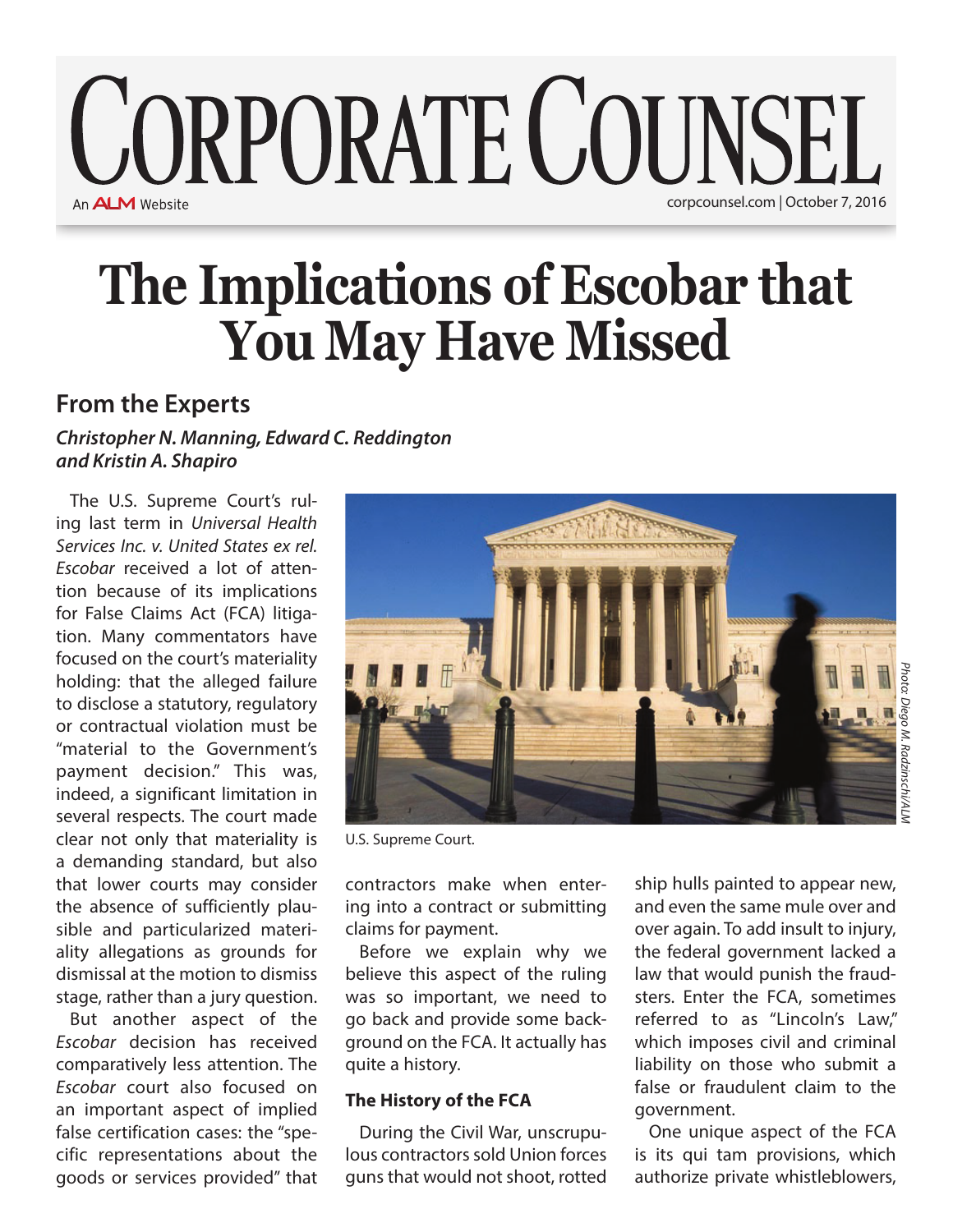### **CORPORATE COUNSEL** An **ALM** Website corpcounsel.com | October 7, 2016

# **The Implications of Escobar that You May Have Missed**

### **From the Experts**

#### *Christopher N. Manning, Edward C. Reddington and Kristin A. Shapiro*

The U.S. Supreme Court's ruling last term in *Universal Health Services Inc. v. United States ex rel. Escobar* received a lot of attention because of its implications for False Claims Act (FCA) litigation. Many commentators have focused on the court's materiality holding: that the alleged failure to disclose a statutory, regulatory or contractual violation must be "material to the Government's payment decision." This was, indeed, a significant limitation in several respects. The court made clear not only that materiality is a demanding standard, but also that lower courts may consider the absence of sufficiently plausible and particularized materiality allegations as grounds for dismissal at the motion to dismiss stage, rather than a jury question.

But another aspect of the *Escobar* decision has received comparatively less attention. The *Escobar* court also focused on an important aspect of implied false certification cases: the "specific representations about the goods or services provided" that



U.S. Supreme Court.

contractors make when entering into a contract or submitting claims for payment.

Before we explain why we believe this aspect of the ruling was so important, we need to go back and provide some background on the FCA. It actually has quite a history.

#### **The History of the FCA**

During the Civil War, unscrupulous contractors sold Union forces guns that would not shoot, rotted

ship hulls painted to appear new, and even the same mule over and over again. To add insult to injury, the federal government lacked a law that would punish the fraudsters. Enter the FCA, sometimes referred to as "Lincoln's Law," which imposes civil and criminal liability on those who submit a false or fraudulent claim to the government.

One unique aspect of the FCA is its qui tam provisions, which authorize private whistleblowers,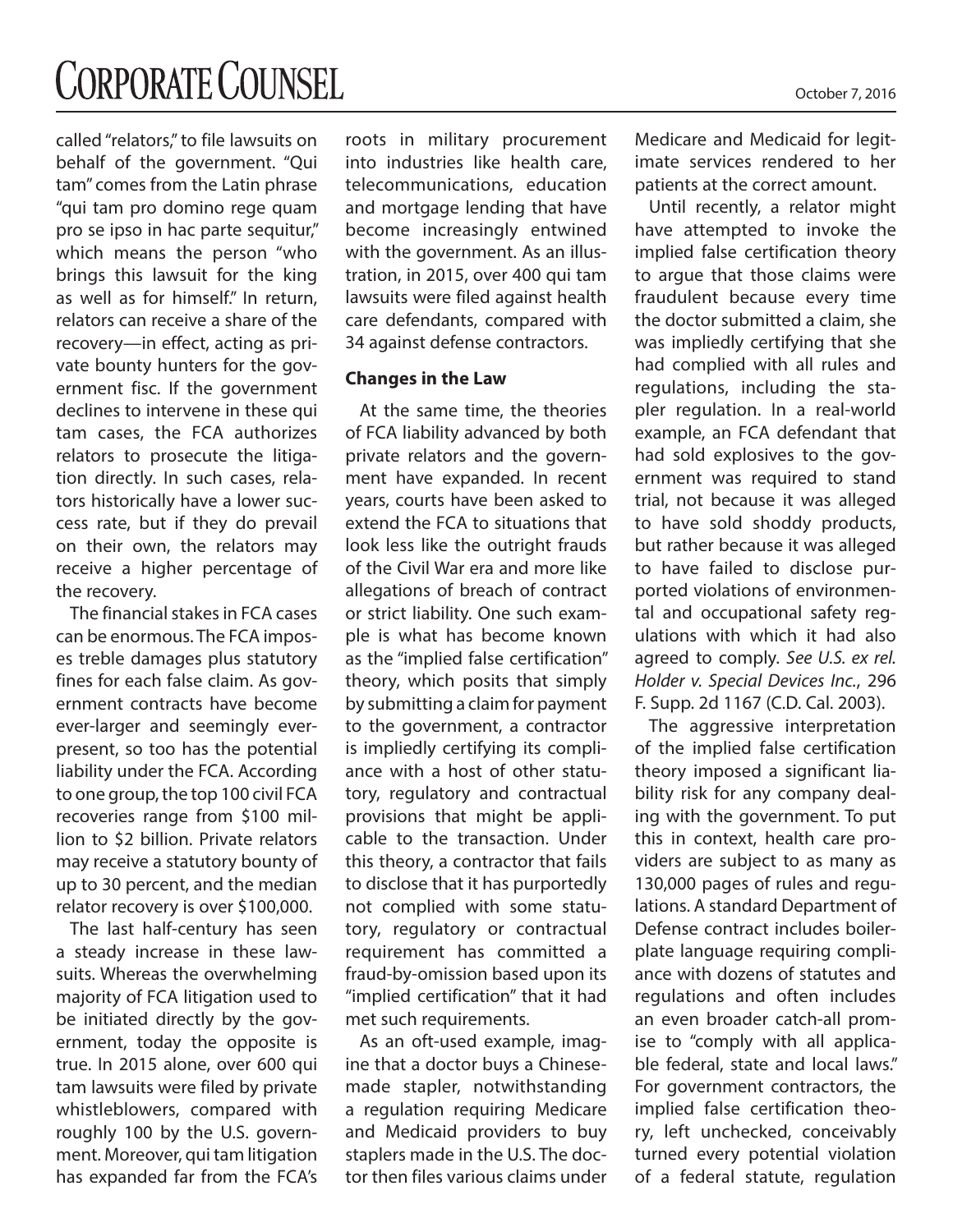## **CORPORATE COUNSEL**

called "relators," to file lawsuits on behalf of the government. "Qui tam" comes from the Latin phrase "qui tam pro domino rege quam pro se ipso in hac parte sequitur," which means the person "who brings this lawsuit for the king as well as for himself." In return, relators can receive a share of the recovery—in effect, acting as private bounty hunters for the government fisc. If the government declines to intervene in these qui tam cases, the FCA authorizes relators to prosecute the litigation directly. In such cases, relators historically have a lower success rate, but if they do prevail on their own, the relators may receive a higher percentage of the recovery.

The financial stakes in FCA cases can be enormous. The FCA imposes treble damages plus statutory fines for each false claim. As government contracts have become ever-larger and seemingly everpresent, so too has the potential liability under the FCA. According to one group, the top 100 civil FCA recoveries range from \$100 million to \$2 billion. Private relators may receive a statutory bounty of up to 30 percent, and the median relator recovery is over \$100,000.

The last half-century has seen a steady increase in these lawsuits. Whereas the overwhelming majority of FCA litigation used to be initiated directly by the government, today the opposite is true. In 2015 alone, over 600 qui tam lawsuits were filed by private whistleblowers, compared with roughly 100 by the U.S. government. Moreover, qui tam litigation has expanded far from the FCA's roots in military procurement into industries like health care, telecommunications, education and mortgage lending that have become increasingly entwined with the government. As an illustration, in 2015, over 400 qui tam lawsuits were filed against health care defendants, compared with 34 against defense contractors.

#### **Changes in the Law**

At the same time, the theories of FCA liability advanced by both private relators and the government have expanded. In recent years, courts have been asked to extend the FCA to situations that look less like the outright frauds of the Civil War era and more like allegations of breach of contract or strict liability. One such example is what has become known as the "implied false certification" theory, which posits that simply by submitting a claim for payment to the government, a contractor is impliedly certifying its compliance with a host of other statutory, regulatory and contractual provisions that might be applicable to the transaction. Under this theory, a contractor that fails to disclose that it has purportedly not complied with some statutory, regulatory or contractual requirement has committed a fraud-by-omission based upon its "implied certification" that it had met such requirements.

As an oft-used example, imagine that a doctor buys a Chinesemade stapler, notwithstanding a regulation requiring Medicare and Medicaid providers to buy staplers made in the U.S. The doctor then files various claims under

Medicare and Medicaid for legitimate services rendered to her patients at the correct amount.

Until recently, a relator might have attempted to invoke the implied false certification theory to argue that those claims were fraudulent because every time the doctor submitted a claim, she was impliedly certifying that she had complied with all rules and regulations, including the stapler regulation. In a real-world example, an FCA defendant that had sold explosives to the government was required to stand trial, not because it was alleged to have sold shoddy products, but rather because it was alleged to have failed to disclose purported violations of environmental and occupational safety regulations with which it had also agreed to comply. *See U.S. ex rel. Holder v. Special Devices Inc.*, 296 F. Supp. 2d 1167 (C.D. Cal. 2003).

The aggressive interpretation of the implied false certification theory imposed a significant liability risk for any company dealing with the government. To put this in context, health care providers are subject to as many as 130,000 pages of rules and regulations. A standard Department of Defense contract includes boilerplate language requiring compliance with dozens of statutes and regulations and often includes an even broader catch-all promise to "comply with all applicable federal, state and local laws." For government contractors, the implied false certification theory, left unchecked, conceivably turned every potential violation of a federal statute, regulation